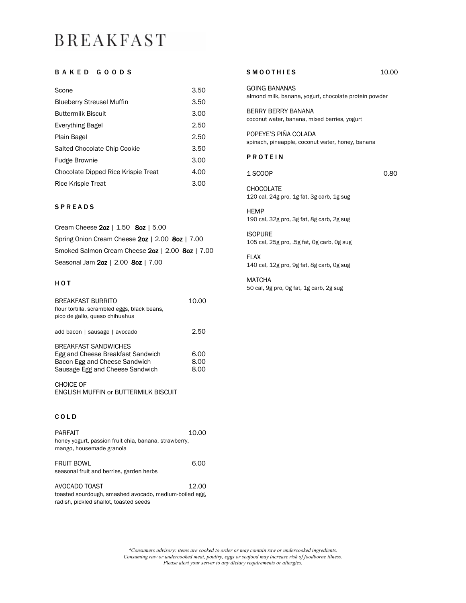### **BREAKFAST**

#### B A K E D G O O D S

| Scone                               | 3.50 |
|-------------------------------------|------|
| <b>Blueberry Streusel Muffin</b>    | 3.50 |
| <b>Buttermilk Biscuit</b>           | 3.00 |
| Everything Bagel                    | 2.50 |
| Plain Bagel                         | 2.50 |
| Salted Chocolate Chip Cookie        | 3.50 |
| Fudge Brownie                       | 3.00 |
| Chocolate Dipped Rice Krispie Treat | 4.00 |
| Rice Krispie Treat                  | 3.00 |

#### S P R E A D S

Cream Cheese 2oz | 1.50 8oz | 5.00 Spring Onion Cream Cheese 2oz | 2.00 8oz | 7.00 Smoked Salmon Cream Cheese 2oz | 2.00 8oz | 7.00 Seasonal Jam 2oz | 2.00 8oz | 7.00

#### H O T

| BREAKFAST BURRITO<br>flour tortilla, scrambled eggs, black beans,<br>pico de gallo, queso chihuahua                           | 10.00                |
|-------------------------------------------------------------------------------------------------------------------------------|----------------------|
| add bacon   sausage   avocado                                                                                                 | 2.50                 |
| BREAKFAST SANDWICHES<br>Egg and Cheese Breakfast Sandwich<br>Bacon Egg and Cheese Sandwich<br>Sausage Egg and Cheese Sandwich | 6.00<br>8.00<br>8.00 |
| CHOICE OF                                                                                                                     |                      |

ENGLISH MUFFIN or BUTTERMILK BISCUIT

#### C O L D

| <b>PARFAIT</b>                                                                    | 10.00 |
|-----------------------------------------------------------------------------------|-------|
| honey yogurt, passion fruit chia, banana, strawberry,<br>mango, housemade granola |       |
| <b>FRUIT BOWL</b><br>seasonal fruit and berries, garden herbs                     | 6.00  |
| AVOCADO TOAST<br>toasted sourdough, smashed avocado, medium-boiled egg,           | 12.00 |

radish, pickled shallot, toasted seeds

#### S M O O T H I E S 10.00

GOING BANANAS almond milk, banana, yogurt, chocolate protein powder

BERRY BERRY BANANA coconut water, banana, mixed berries, yogurt

POPEYE'S PIÑA COLADA spinach, pineapple, coconut water, honey, banana

#### **PROTEIN**

1 SCOOP 0.80

CHOCOLATE 120 cal, 24g pro, 1g fat, 3g carb, 1g sug

**HEMP** 190 cal, 32g pro, 3g fat, 8g carb, 2g sug

**ISOPURE** 105 cal, 25g pro, .5g fat, 0g carb, 0g sug

FLAX 140 cal, 12g pro, 9g fat, 8g carb, 0g sug

MATCHA

50 cal, 9g pro, 0g fat, 1g carb, 2g sug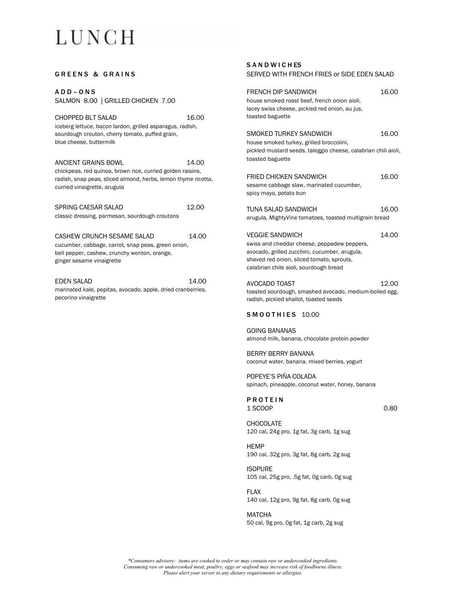# LUNCH

| <b>GREENS &amp; GRAINS</b>                                                                                                                                                         |       | SERVED WITH FRENCH FRIES or SIDE EDEN SALAD                                                                                                                                                                   |       |  |
|------------------------------------------------------------------------------------------------------------------------------------------------------------------------------------|-------|---------------------------------------------------------------------------------------------------------------------------------------------------------------------------------------------------------------|-------|--|
| $ADD - ONS$<br>SALMON 8.00   GRILLED CHICKEN 7.00<br>CHOPPED BLT SALAD                                                                                                             | 16.00 | <b>FRENCH DIP SANDWICH</b><br>house smoked roast beef, french onion aioli,<br>lacey swiss cheese, pickled red onion, au jus,<br>toasted baguette                                                              | 16.00 |  |
| iceberg lettuce, bacon lardon, grilled asparagus, radish,<br>sourdough crouton, cherry tomato, puffed grain,<br>blue cheese, buttermilk                                            |       | SMOKED TURKEY SANDWICH<br>house smoked turkey, grilled broccolini,<br>pickled mustard seeds, taleggio cheese, calabrian chili aioli,                                                                          | 16.00 |  |
| ANCIENT GRAINS BOWL<br>chickpeas, red quinoa, brown rice, curried golden raisins,<br>radish, snap peas, sliced almond, herbs, lemon thyme ricotta,<br>curried vinaigrette, arugula | 14.00 | toasted baguette<br>FRIED CHICKEN SANDWICH<br>sesame cabbage slaw, marinated cucumber,<br>spicy mayo, potato bun                                                                                              | 16.00 |  |
| SPRING CAESAR SALAD<br>classic dressing, parmesan, sourdough croutons                                                                                                              | 12.00 | TUNA SALAD SANDWICH<br>arugula, MightyVine tomatoes, toasted multigrain bread                                                                                                                                 | 16.00 |  |
| CASHEW CRUNCH SESAME SALAD<br>cucumber, cabbage, carrot, snap peas, green onion,<br>bell pepper, cashew, crunchy wonton, orange,<br>ginger sesame vinaigrette                      | 14.00 | <b>VEGGIE SANDWICH</b><br>swiss and cheddar cheese, peppadew peppers,<br>avocado, grilled zucchini, cucumber, arugula,<br>shaved red onion, sliced tomato, sprouts,<br>calabrian chile aioli, sourdough bread | 14.00 |  |
| <b>EDEN SALAD</b><br>marinated kale, pepitas, avocado, apple, dried cranberries,<br>pecorino vinaigrette                                                                           | 14.00 | AVOCADO TOAST<br>toasted sourdough, smashed avocado, medium-boiled egg,<br>radish, pickled shallot, toasted seeds                                                                                             | 12.00 |  |
|                                                                                                                                                                                    |       | SMOOTHIES 10.00                                                                                                                                                                                               |       |  |
|                                                                                                                                                                                    |       | <b>GOING BANANAS</b><br>almond milk, banana, chocolate protein powder                                                                                                                                         |       |  |
|                                                                                                                                                                                    |       | BERRY BERRY BANANA<br>coconut water, banana, mixed berries, yogurt                                                                                                                                            |       |  |
|                                                                                                                                                                                    |       | POPEYE'S PIÑA COLADA<br>spinach, pineapple, coconut water, honey, banana                                                                                                                                      |       |  |
|                                                                                                                                                                                    |       | <b>PROTEIN</b><br>1 SCOOP                                                                                                                                                                                     | 0.80  |  |
|                                                                                                                                                                                    |       | <b>CHOCOLATE</b><br>120 cal, 24g pro, 1g fat, 3g carb, 1g sug                                                                                                                                                 |       |  |
|                                                                                                                                                                                    |       | <b>HEMP</b><br>190 cal, 32g pro, 3g fat, 8g carb, 2g sug                                                                                                                                                      |       |  |

**SANDWICHES** 

ISOPURE 105 cal, 25g pro, .5g fat, 0g carb, 0g sug

FLAX 140 cal, 12g pro, 9g fat, 8g carb, 0g sug

MATCHA 50 cal, 9g pro, 0g fat, 1g carb, 2g sug